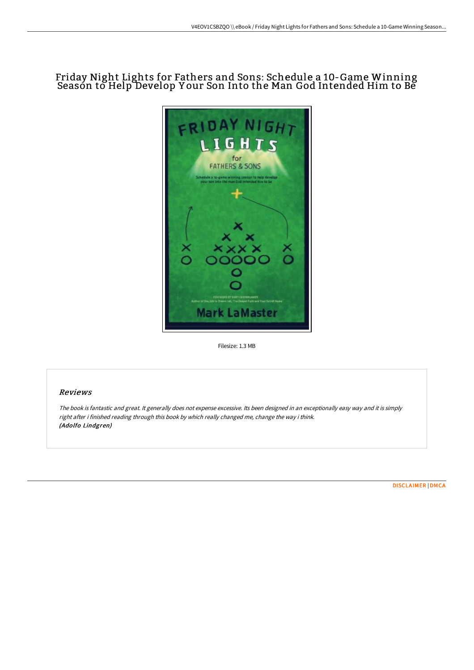# Friday Night Lights for Fathers and Sons: Schedule a 10-Game Winning Seasón to Help Develop Your Son Into the Man God Intended Him to Be



Filesize: 1.3 MB

## Reviews

The book is fantastic and great. It generally does not expense excessive. Its been designed in an exceptionally easy way and it is simply right after i finished reading through this book by which really changed me, change the way i think. (Adolfo Lindgren)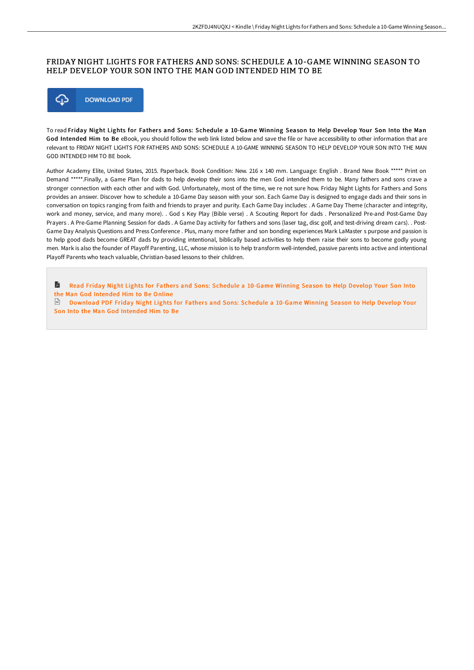## FRIDAY NIGHT LIGHTS FOR FATHERS AND SONS: SCHEDULE A 10-GAME WINNING SEASON TO HELP DEVELOP YOUR SON INTO THE MAN GOD INTENDED HIM TO BE



To read Friday Night Lights for Fathers and Sons: Schedule a 10-Game Winning Season to Help Develop Your Son Into the Man God Intended Him to Be eBook, you should follow the web link listed below and save the file or have accessibility to other information that are relevant to FRIDAY NIGHT LIGHTS FOR FATHERS AND SONS: SCHEDULE A 10-GAME WINNING SEASON TO HELP DEVELOP YOUR SON INTO THE MAN GOD INTENDED HIM TO BE book.

Author Academy Elite, United States, 2015. Paperback. Book Condition: New. 216 x 140 mm. Language: English . Brand New Book \*\*\*\*\* Print on Demand \*\*\*\*\*.Finally, a Game Plan for dads to help develop their sons into the men God intended them to be. Many fathers and sons crave a stronger connection with each other and with God. Unfortunately, most of the time, we re not sure how. Friday Night Lights for Fathers and Sons provides an answer. Discover how to schedule a 10-Game Day season with your son. Each Game Day is designed to engage dads and their sons in conversation on topics ranging from faith and friends to prayer and purity. Each Game Day includes: . A Game Day Theme (character and integrity, work and money, service, and many more). . God s Key Play (Bible verse) . A Scouting Report for dads . Personalized Pre-and Post-Game Day Prayers . A Pre-Game Planning Session for dads . A Game Day activity for fathers and sons (laser tag, disc golf, and test-driving dream cars). . Post-Game Day Analysis Questions and Press Conference . Plus, many more father and son bonding experiences Mark LaMaster s purpose and passion is to help good dads become GREAT dads by providing intentional, biblically based activities to help them raise their sons to become godly young men. Mark is also the founder of Playoff Parenting, LLC, whose mission is to help transform well-intended, passive parents into active and intentional Playoff Parents who teach valuable, Christian-based lessons to their children.

A Read Friday Night Lights for Fathers and Sons: [Schedule](http://albedo.media/friday-night-lights-for-fathers-and-sons-schedul.html) a 10-Game Winning Season to Help Develop Your Son Into the Man God Intended Him to Be Online

**[Download](http://albedo.media/friday-night-lights-for-fathers-and-sons-schedul.html) PDF Friday Night Lights for Fathers and Sons: Schedule a 10-Game Winning Season to Help Develop Your** Son Into the Man God Intended Him to Be